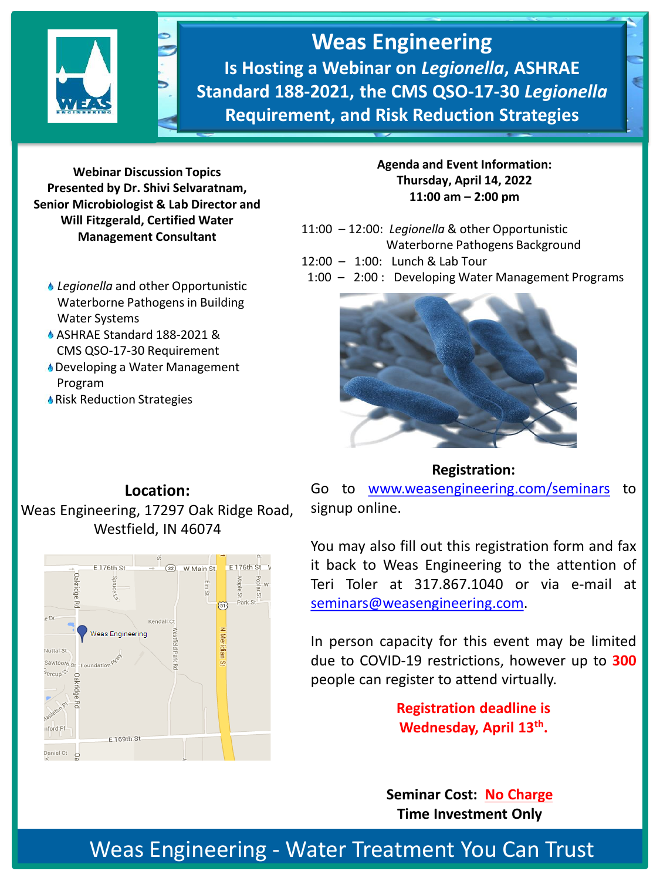

**Weas Engineering Is Hosting a Webinar on** *Legionella***, ASHRAE Standard 188-2021, the CMS QSO-17-30** *Legionella*  **Requirement, and Risk Reduction Strategies**

**Webinar Discussion Topics Presented by Dr. Shivi Selvaratnam, Senior Microbiologist & Lab Director and Will Fitzgerald, Certified Water Management Consultant**

- *Legionella* and other Opportunistic Waterborne Pathogens in Building Water Systems
- ASHRAE Standard 188-2021 & CMS QSO-17-30 Requirement
- **Developing a Water Management** Program
- **Kisk Reduction Strategies**

## **Agenda and Event Information: Thursday, April 14, 2022 11:00 am – 2:00 pm**

- 11:00 12:00: *Legionella* & other Opportunistic Waterborne Pathogens Background
- 12:00 1:00: Lunch & Lab Tour
- 1:00 2:00 : Developing Water Management Programs



## **Location:** Weas Engineering, 17297 Oak Ridge Road, Westfield, IN 46074



Go to [www.weasengineering.com/seminars](http://www.weasengineering.com/seminars) to signup online.

**Registration:**

You may also fill out this registration form and fax it back to Weas Engineering to the attention of Teri Toler at 317.867.1040 or via e-mail at [seminars@weasengineering.com.](mailto:seminars@weasengineering.com)

In person capacity for this event may be limited due to COVID-19 restrictions, however up to **300** people can register to attend virtually.

> **Registration deadline is Wednesday, April 13th .**

**Seminar Cost: No Charge Time Investment Only**

## Weas Engineering - Water Treatment You Can Trust